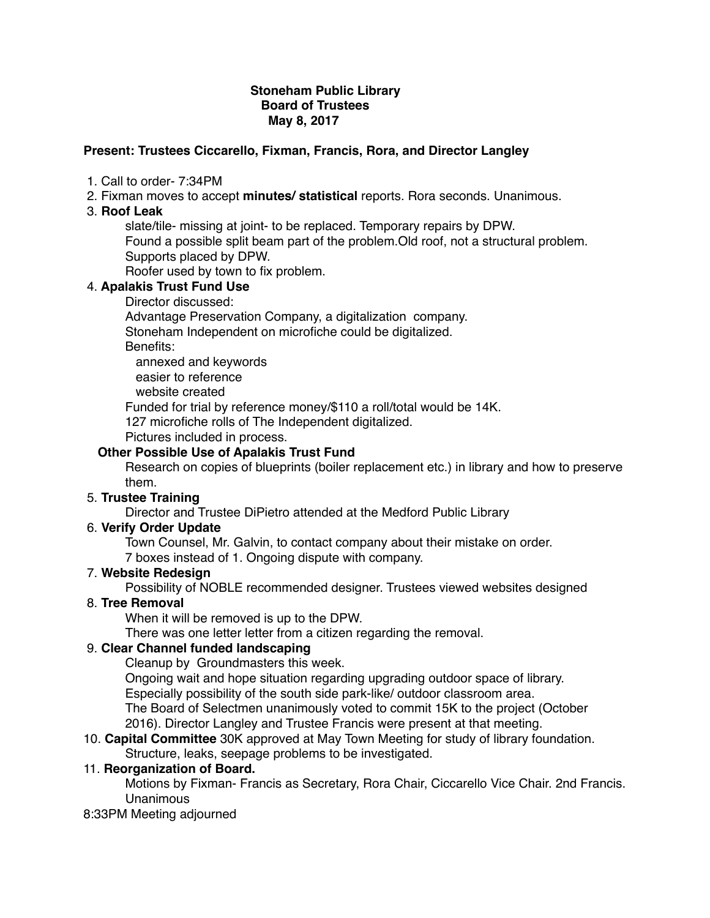# **Stoneham Public Library Board of Trustees May 8, 2017**

# **Present: Trustees Ciccarello, Fixman, Francis, Rora, and Director Langley**

- 1. Call to order- 7:34PM
- 2. Fixman moves to accept **minutes/ statistical** reports. Rora seconds. Unanimous.
- 3. **Roof Leak**

slate/tile- missing at joint- to be replaced. Temporary repairs by DPW.

Found a possible split beam part of the problem.Old roof, not a structural problem. Supports placed by DPW.

Roofer used by town to fix problem.

# 4. **Apalakis Trust Fund Use**

Director discussed:

Advantage Preservation Company, a digitalization company.

Stoneham Independent on microfiche could be digitalized.

Benefits:

annexed and keywords

easier to reference

website created

Funded for trial by reference money/\$110 a roll/total would be 14K.

127 microfiche rolls of The Independent digitalized.

Pictures included in process.

# **Other Possible Use of Apalakis Trust Fund**

Research on copies of blueprints (boiler replacement etc.) in library and how to preserve them.

# 5. **Trustee Training**

Director and Trustee DiPietro attended at the Medford Public Library

# 6. **Verify Order Update**

Town Counsel, Mr. Galvin, to contact company about their mistake on order.

7 boxes instead of 1. Ongoing dispute with company.

# 7. **Website Redesign**

Possibility of NOBLE recommended designer. Trustees viewed websites designed

# 8. **Tree Removal**

When it will be removed is up to the DPW.

There was one letter letter from a citizen regarding the removal.

# 9. **Clear Channel funded landscaping**

Cleanup by Groundmasters this week.

Ongoing wait and hope situation regarding upgrading outdoor space of library. Especially possibility of the south side park-like/ outdoor classroom area. The Board of Selectmen unanimously voted to commit 15K to the project (October 2016). Director Langley and Trustee Francis were present at that meeting.

### 10. **Capital Committee** 30K approved at May Town Meeting for study of library foundation. Structure, leaks, seepage problems to be investigated.

# 11. **Reorganization of Board.**

Motions by Fixman- Francis as Secretary, Rora Chair, Ciccarello Vice Chair. 2nd Francis. Unanimous

#### 8:33PM Meeting adjourned